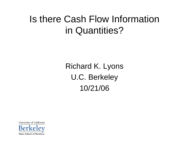## Is there Cash Flow Information in Quantities?

Richard K. Lyons U.C. Berkeley 10/21/06

University of California Haas School of Business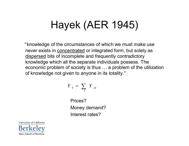# Hayek (AER 1945)

"knowledge of the circumstances of which we must make use never exists in <u>concentrated</u> or integrated form, but solely as dispersed bits of incomplete and frequently contradictory knowledge which all the separate individuals possess. The economic problem of society is thus … a problem of the utilization of knowledge not given to anyone in its totality. "

$$
Y_t = \sum_i Y_{it}
$$

Prices?Money demand? Interest rates?

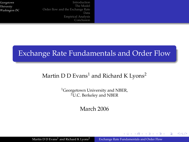[Introduction](#page-3-0) [The Model](#page--1-0) [Order flow and the Exchange Rate](#page--1-0) Data [Empirical Analysis](#page--1-0) [Conclusion](#page-24-0)

## Exchange Rate Fundamentals and Order Flow

## Martin D D Evans<sup>1</sup> and Richard K Lyons<sup>2</sup>

<sup>1</sup>Georgetown University and NBER, <sup>2</sup>U.C. Berkeley and NBER

March 2006

<span id="page-2-0"></span> $\left\{ \begin{array}{ccc} \square & \times & \overline{A} \end{array} \right.$  and  $\left\{ \begin{array}{ccc} \square & \times & \times & \overline{B} & \times \end{array} \right.$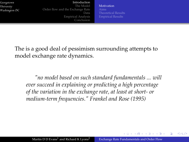#### [Introduction](#page-3-0)

[The Model](#page--1-0) [Order flow and the Exchange Rate](#page--1-0) Data [Empirical Analysis](#page--1-0) [Conclusion](#page-24-0)

**[Motivation](#page-3-0)** [Theoretical Results](#page--1-0) [Empirical Results](#page-5-0)

The is a good deal of pessimism surrounding attempts to model exchange rate dynamics.

*"no model based on such standard fundamentals ... will ever succeed in explaining or predicting a high percentage of the variation in the exchange rate, at least at short- or medium-term frequencies." Frankel and Rose (1995)*

<span id="page-3-0"></span>4 ロ ト ィ *同* ト ィ ヨ ト ィ ヨ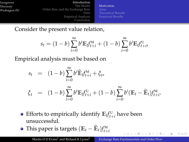#### [Introduction](#page-3-0)

[The Model](#page--1-0) [Order flow and the Exchange Rate](#page--1-0) Data [Empirical Analysis](#page--1-0) [Conclusion](#page-24-0)

[Motivation](#page-3-0) [Theoretical Results](#page--1-0) [Empirical Results](#page-5-0)

Consider the present value relation,

$$
s_t = (1 - b) \sum_{i=0}^{\infty} b^i \mathbb{E}_{t} f_{t+i}^M + (1 - b) \sum_{i=0}^{\infty} b^i \mathbb{E}_{t} f_{t+i}^U,
$$

Empirical analysis must be based on

$$
s_t = (1 - b) \sum_{i=0}^{\infty} b^i \widehat{\mathbb{E}}_t f_{t+i}^M + \xi_t,
$$
  

$$
\xi_t = (1 - b) \sum_{i=0}^{\infty} b^i \mathbb{E}_t f_{t+i}^U + (1 - b) \sum_{i=0}^{\infty} b^i (\mathbb{E}_t - \widehat{\mathbb{E}}_t) f_{t+i}^M.
$$

- Efforts to empirically identify  $\mathbb{E}_t f_{t+i}^{\mathrm{U}}$  have been unsuccessful.
- This paper is targets  $(\mathbb{E}_t \mathbb{E}_t) f_{t+i}^{\mathsf{M}}$

 $\left\{ \begin{array}{ccc} 1 & 0 & 0 & 0 \\ 0 & 0 & 0 & 0 \\ 0 & 0 & 0 & 0 \\ 0 & 0 & 0 & 0 \\ 0 & 0 & 0 & 0 \\ 0 & 0 & 0 & 0 \\ 0 & 0 & 0 & 0 \\ 0 & 0 & 0 & 0 \\ 0 & 0 & 0 & 0 \\ 0 & 0 & 0 & 0 \\ 0 & 0 & 0 & 0 \\ 0 & 0 & 0 & 0 & 0 \\ 0 & 0 & 0 & 0 & 0 \\ 0 & 0 & 0 & 0 & 0 \\ 0 & 0 & 0 & 0 & 0 \\ 0 & 0 & 0 & 0 & 0 \\ 0$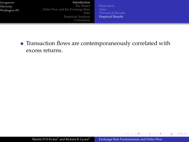#### [Introduction](#page-3-0)

[The Model](#page--1-0) [Order flow and the Exchange Rate](#page--1-0) Data [Empirical Analysis](#page--1-0) [Conclusion](#page-24-0) [Theoretical Results](#page--1-0) [Empirical Results](#page-9-0)

Transaction flows are contemporaneously correlated with excess returns.

メロトメ部 トメミトメミト

<span id="page-5-0"></span>舌

 $299$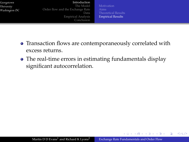#### [Introduction](#page-3-0)

[The Model](#page--1-0) [Order flow and the Exchange Rate](#page--1-0) Data [Empirical Analysis](#page--1-0) [Conclusion](#page-24-0)

[Theoretical Results](#page--1-0) [Empirical Results](#page-9-0)

- Transaction flows are contemporaneously correlated with excess returns.
- The real-time errors in estimating fundamentals display significant autocorrelation.

 $\left\{ \begin{array}{ccc} 1 & 0 & 0 & 0 \\ 0 & 0 & 0 & 0 \\ 0 & 0 & 0 & 0 \\ 0 & 0 & 0 & 0 \\ 0 & 0 & 0 & 0 \\ 0 & 0 & 0 & 0 \\ 0 & 0 & 0 & 0 \\ 0 & 0 & 0 & 0 \\ 0 & 0 & 0 & 0 \\ 0 & 0 & 0 & 0 \\ 0 & 0 & 0 & 0 \\ 0 & 0 & 0 & 0 & 0 \\ 0 & 0 & 0 & 0 & 0 \\ 0 & 0 & 0 & 0 & 0 \\ 0 & 0 & 0 & 0 & 0 \\ 0 & 0 & 0 & 0 & 0 \\ 0$ 

 $QQ$ 

э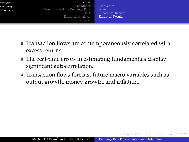#### [Introduction](#page-3-0)

[The Model](#page--1-0) [Order flow and the Exchange Rate](#page--1-0) Data [Empirical Analysis](#page--1-0) [Conclusion](#page-24-0)

**[Motivation](#page-3-0)** [Theoretical Results](#page--1-0) [Empirical Results](#page-9-0)

- Transaction flows are contemporaneously correlated with excess returns.
- The real-time errors in estimating fundamentals display significant autocorrelation.
- Transaction flows forecast future macro variables such as output growth, money growth, and inflation.

イロト イ母 トイヨ トイヨト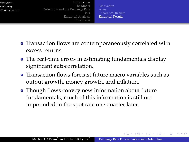#### [Introduction](#page-3-0)

[The Model](#page--1-0) [Order flow and the Exchange Rate](#page--1-0) Data [Empirical Analysis](#page--1-0) [Conclusion](#page-24-0)

**[Motivation](#page-3-0)** [Theoretical Results](#page--1-0) [Empirical Results](#page-9-0)

- Transaction flows are contemporaneously correlated with excess returns.
- The real-time errors in estimating fundamentals display significant autocorrelation.
- Transaction flows forecast future macro variables such as output growth, money growth, and inflation.
- Though flows convey new information about future fundamentals, much of this information is still not impounded in the spot rate one quarter later.

イロト イ母 トイヨ トイヨト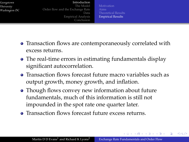#### [Introduction](#page-3-0)

[The Model](#page--1-0) [Order flow and the Exchange Rate](#page--1-0) Data [Empirical Analysis](#page--1-0) [Conclusion](#page-24-0)

**[Motivation](#page-3-0)** [Theoretical Results](#page--1-0) [Empirical Results](#page-5-0)

- Transaction flows are contemporaneously correlated with excess returns.
- The real-time errors in estimating fundamentals display significant autocorrelation.
- Transaction flows forecast future macro variables such as output growth, money growth, and inflation.
- Though flows convey new information about future fundamentals, much of this information is still not impounded in the spot rate one quarter later.
- **Transaction flows forecast future excess returns.**

<span id="page-9-0"></span>イロト イ母 トイヨ トイヨト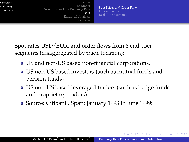[Introduction](#page-3-0) [The Model](#page--1-0) [Order flow and the Exchange Rate](#page--1-0) Data [Empirical Analysis](#page--1-0) [Conclusion](#page-24-0)

[Spot Prices and Order Flow](#page-10-0) [Fundamentals](#page-11-0) [Real-Time Estimates](#page-12-0)

Spot rates USD/EUR, and order flows from 6 end-user segments (disaggregated by trade location):

- US and non-US based non-financial corporations,
- US non-US based investors (such as mutual funds and pension funds)
- US non-US based leveraged traders (such as hedge funds and proprietary traders).
- Source: Citibank. Span: January 1993 to June 1999:

<span id="page-10-0"></span>イロト イ押 トイラト イラト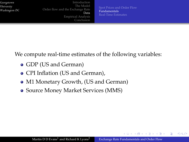[Introduction](#page-3-0) [The Model](#page--1-0) [Order flow and the Exchange Rate](#page--1-0) Data [Empirical Analysis](#page--1-0) [Conclusion](#page-24-0)

[Spot Prices and Order Flow](#page-10-0) [Fundamentals](#page-11-0) [Real-Time Estimates](#page-12-0)

We compute real-time estimates of the following variables:

- GDP (US and German)
- CPI Inflation (US and German),
- M1 Monetary Growth, (US and German)
- Source Money Market Services (MMS)

<span id="page-11-0"></span>イロト イ母 トイヨ トイヨト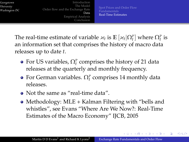[Introduction](#page-3-0) [The Model](#page--1-0) [Order flow and the Exchange Rate](#page--1-0) Data [Empirical Analysis](#page--1-0) [Conclusion](#page-24-0)

[Spot Prices and Order Flow](#page-10-0) [Real-Time Estimates](#page-12-0)

The real-time estimate of variable  $\varkappa_t$  is  $\mathbb{E}[\varkappa_t|\Omega_t^{\mathcal{P}}]$  where  $\Omega_t^{\mathcal{P}}$  is an information set that comprises the history of macro data releases up to date *t*.

- For US variables,  $\Omega_t^{\rm P}$  comprises the history of 21 data releases at the quarterly and monthly frequency.
- For German variables.  $\Omega_t^{\rm P}$  comprises 14 monthly data releases.
- Not the same as "real-time data".
- Methodology: MLE + Kalman Filtering with "bells and whistles", see Evans "Where Are We Now?: Real-Time Estimates of the Macro Economy" IJCB, 2005

<span id="page-12-0"></span>イロト イ母 トイヨ トイヨト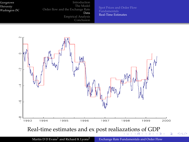[Introduction](#page-3-0) [The Model](#page--1-0) [Order flow and the Exchange Rate](#page--1-0) Data [Empirical Analysis](#page--1-0) [Conclusion](#page-24-0)

[Spot Prices and Order Flow](#page-10-0) [Real-Time Estimates](#page-12-0)



<span id="page-13-0"></span>Martin D D Evans<sup>1</sup> and Richard K Lyons<sup>2</sup> [Exchange Rate Fundamentals and Order Flow](#page-2-0)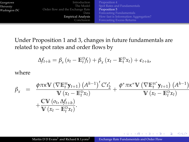|     | Introduction                     | Proposition 4                        |
|-----|----------------------------------|--------------------------------------|
| DC. | The Model                        | Spot Rates and Fundamentals          |
|     | Order flow and the Exchange Rate | Proposition 5                        |
|     | Data                             | Forecasting Fundamentals             |
|     | <b>Empirical Analysis</b>        | How fast is Information Aggregation? |
|     | Conclusion                       | <b>Forecasting Excess Returns</b>    |

Under Proposition 1 and 3, changes in future fundamentals are related to spot rates and order flows by

$$
\Delta f_{t+h} = \beta_s \left( s_t - \mathbb{E}_t^{\mathcal{D}} f_t \right) + \beta_x \left( x_t - \mathbb{E}_t^{\mathcal{D}} x_t \right) + \epsilon_{t+h},
$$

where

*Georgetown Georgetown University Washington DC University*

 $W<sub>a</sub>$ *shinator* 

$$
\beta_{x} = \frac{\phi \pi \kappa \mathbf{V} \left( \nabla \mathbb{E}_{t}^{H} \mathbf{y}_{t+1} \right) \left( A^{h-1} \right)' C' \mathbf{1}_{2}'}{\mathbf{V} \left( x_{t} - \mathbb{E}_{t}^{D} x_{t} \right)} + \frac{\phi^{*} \pi \kappa^{*} \mathbf{V} \left( \nabla \mathbb{E}_{t}^{H^{*}} \mathbf{y}_{t+1} \right) \left( A^{h-1} \right)}{\mathbf{V} \left( x_{t} - \mathbb{E}_{t}^{D} x_{t} \right)} + \frac{\mathbf{CV} \left( o_{t}, \Delta f_{t+h} \right)}{\mathbf{V} \left( x_{t} - \mathbb{E}_{t}^{D} x_{t} \right)}.
$$

 $+$ 

 $\mathcal{A} \oplus \mathcal{B}$  and  $\mathcal{A} \oplus \mathcal{B}$  and  $\mathcal{B}$ 

 $299$ 

<span id="page-14-0"></span>∍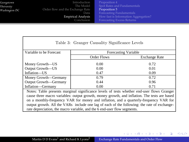| Georgetown    | Introduction                     | Proposition 4                        |
|---------------|----------------------------------|--------------------------------------|
| University    | The Model                        | Spot Rates and Fundamentals          |
| Washington DC | Order flow and the Exchange Rate | Proposition 5                        |
|               | Data                             | Forecasting Fundamentals             |
|               | <b>Empirical Analysis</b>        | How fast is Information Aggregation? |
|               | Conclusion                       | <b>Forecasting Excess Returns</b>    |

| Table 3: Granger Causality Significance Levels                                                                                                                                             |                      |                      |  |  |  |  |
|--------------------------------------------------------------------------------------------------------------------------------------------------------------------------------------------|----------------------|----------------------|--|--|--|--|
| Variable to be Forecast                                                                                                                                                                    | Forecasting Variable |                      |  |  |  |  |
|                                                                                                                                                                                            | Order Flows          | <b>Exchange Rate</b> |  |  |  |  |
| Money Growth-US                                                                                                                                                                            | 0.00                 | 0.72                 |  |  |  |  |
| Output Growth-US                                                                                                                                                                           | 0.00                 | 0.01                 |  |  |  |  |
| Inflation-US                                                                                                                                                                               | 0.47                 | 0.09                 |  |  |  |  |
| Money Growth—Germany                                                                                                                                                                       | 0.79                 | 0.72                 |  |  |  |  |
| Output Growth—Germany                                                                                                                                                                      | 0.44                 | 0.96                 |  |  |  |  |
| Inflation-Germany                                                                                                                                                                          | 0.00                 | 0.71                 |  |  |  |  |
| Notes: Table presents marginal significance levels of tests whether end-user flows Granger<br>cause three macro variables: output growth, money growth, and inflation. The tests are based |                      |                      |  |  |  |  |
| on a monthly-frequency VAR for money and inflation, and a quarterly-frequency VAR for                                                                                                      |                      |                      |  |  |  |  |
| output growth. All the VARs include one lag of each of the following: the rate of exchange-                                                                                                |                      |                      |  |  |  |  |
| rate depreciation, the macro variable, and the 6 end-user flow segments.                                                                                                                   |                      |                      |  |  |  |  |

イロトメ 御 トメ 君 トメ 君 トー

 $299$ 

重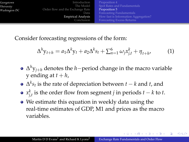| Georgetown<br>University<br>Washington DC | Introduction<br>The Model<br>Order flow and the Exchange Rate<br>Data<br><b>Empirical Analysis</b> | Proposition 4<br>Spot Rates and Fundamentals<br>Proposition 5<br>Forecasting Fundamentals<br>How fast is Information Aggregation? |
|-------------------------------------------|----------------------------------------------------------------------------------------------------|-----------------------------------------------------------------------------------------------------------------------------------|
|                                           |                                                                                                    |                                                                                                                                   |
|                                           | Conclusion                                                                                         | Forecasting Excess Returns                                                                                                        |

Consider forecasting regressions of the form:

$$
\Delta^h y_{t+h} = a_1 \Delta^k y_t + a_2 \Delta^k s_t + \sum_{n=1}^6 \omega_j x_{j,t}^k + \eta_{t+h'} \tag{1}
$$

- $\Delta^h$ y<sub>*j*+*h*</sub> denotes the *h*−period change in the macro variable  $y$  ending at  $t + h$ ,
- $\Delta^k s_t$  is the rate of depreciation between *t k* and *t*, and
- $x_{j,t}^k$  is the order flow from segment *j* in periods  $t k$  to  $t$ .
- We estimate this equation in weekly data using the real-time estimates of GDP, M1 and prices as the macro variables.

 $(0,1)$   $(0,1)$ 

<span id="page-16-0"></span>つひつ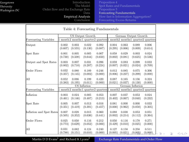[Introduction](#page-3-0) [The Model](#page--1-0) [Order flow and the Exchange Rate](#page--1-0) Data [Empirical Analysis](#page--1-0) [Conclusion](#page-24-0)

[Forecasting Fundamentals](#page-17-0) [Forecasting Excess Returns](#page-21-0)

| Table 4: Forecasting Fundamentals |         |         |                  |                                                                            |                                                                                                |                      |         |         |
|-----------------------------------|---------|---------|------------------|----------------------------------------------------------------------------|------------------------------------------------------------------------------------------------|----------------------|---------|---------|
|                                   |         |         | US Output Growth |                                                                            |                                                                                                | German Output Growth |         |         |
| Forecasting Variables             |         |         |                  | month 2 months 1 quarter 2 quarters 1 months 2 months 1 quarter 2 quarters |                                                                                                |                      |         |         |
| Output                            | 0.002   | 0.003   | 0.022            | 0.092                                                                      | 0.004                                                                                          | 0.063                | 0.089   | 0.006   |
|                                   | (0.607) | (0.555) | (0.130)          | (0.087)                                                                    | (0.295)                                                                                        | (0.006)              | (0.009) | (0.614) |
| Spot Rate                         | 0.001   | 0.005   | 0.005            | 0.007                                                                      | 0.058                                                                                          | 0.029                | 0.003   | 0.024   |
|                                   | (0.730) | (0.508) | (0.644)          | (0.650)                                                                    | (0.002)                                                                                        | (0.081)              | (0.625) | (0.536) |
| Output and Spot Rates             | 0.003   | 0.007   | 0.031            | 0.096                                                                      | 0.059                                                                                          | 0.083                | 0.099   | 0.033   |
|                                   | (0.802) | (0.710) | (0.287)          | (0.224)                                                                    | (0.007)                                                                                        | (0.021)              | (0.024) | (0.709) |
| Order Flows                       | 0.032   | 0.080   | 0.189            | 0.246                                                                      | 0.012                                                                                          | 0.085                | 0.075   | 0.306   |
|                                   | (0.357) | (0.145) | (0.002)          | (0.000)                                                                    | (0.806)                                                                                        | (0.227)              | (0.299) | (0.000) |
| All                               | 0.052   | 0.086   | 0.199            | 0.420                                                                      | 0.087                                                                                          | 0.165                | 0.156   | 0.324   |
|                                   | (0.383) | (0.195) | (0.011)          | (0.000)                                                                    | (0.021)                                                                                        | (0.037)              | (0.130) | (0.000) |
|                                   |         |         | US Inflation     |                                                                            | German Inflation<br>month 2 months 1 quarter 2 quarters 1 months 2 months 1 quarter 2 quarters |                      |         |         |
| Forecasting Variables             |         |         |                  |                                                                            |                                                                                                |                      |         |         |
| Inflation                         | 0.003   | 0.024   | 0.005            | 0.053                                                                      | 0.007                                                                                          | 0.037                | 0.053   | 0.024   |
|                                   | (0.461) | (0.146) | (0.487)          | (0.213)                                                                    | (0.402)                                                                                        | (0.067)              | (0.040) | (0.232) |
| Spot Rate                         | 0.005   | 0.007   | 0.013            | 0.016                                                                      | 0.081                                                                                          | 0.000                | 0.000   | 0.033   |
|                                   | (0.351) | (0.419) | (0.391)          | (0.457)                                                                    | (0.000)                                                                                        | (0.962)              | (0.858) | (0.305) |
| Inflation and Spot Rates          | 0.007   | 0.028   | 0.015            | 0.060                                                                      | 0.088                                                                                          | 0.038                | 0.053   | 0.051   |
|                                   | (0.505) | (0.352) | (0.636)          | (0.441)                                                                    | (0.002)                                                                                        | (0.214)              | (0.112) | (0.364) |
| Order Flows                       | 0.025   | 0.050   | 0.116            | 0.212                                                                      | 0.050                                                                                          | 0.116                | 0.178   | 0.271   |
|                                   | (0.773) | (0.629) | (0.052)          | (0.000)                                                                    | (0.429)                                                                                        | (0.010)              | (0.025) | (0.000) |
| All                               | 0.031   | 0.082   | 0.124            | 0.240                                                                      | 0.127                                                                                          | 0.158                | 0.258   | 0.511   |
|                                   | (0.788) | (0.151) | (0.010)          | (0.000)                                                                    | (0.005)                                                                                        | (0.021)              | (0.005) | (0.000) |

Martin D D Evans<sup>1</sup> and Richard K Lyons<sup>2</sup> [Exchange Rate Fundamentals and Order Flow](#page-2-0)

重

<span id="page-17-0"></span> $299$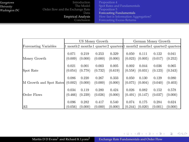[Introduction](#page-3-0) [The Model](#page--1-0) [Order flow and the Exchange Rate](#page--1-0) Data [Empirical Analysis](#page--1-0) [Conclusion](#page-24-0)

[Forecasting Fundamentals](#page-17-0) [Forecasting Excess Returns](#page-21-0)

イロトス個 トスミトスミト

重

<span id="page-18-0"></span> $299$ 

|                         | US Money Growth |         |         | German Money Growth                                                  |         |         |         |         |
|-------------------------|-----------------|---------|---------|----------------------------------------------------------------------|---------|---------|---------|---------|
| Forecasting Variables   |                 |         |         | 1 month2 months1 quarter2 quarters1 month2 months1 quarter2 quarters |         |         |         |         |
| Money Growth            | 0.071           | 0.219   | 0.253   | 0.329                                                                | 0.050   | 0.111   | 0.122   | 0.041   |
|                         | (0.009)         | (0.000) | (0.000) | (0.000)                                                              | (0.023) | (0.005) | (0.017) | (0.252) |
| Spot Rate               | 0.021           | 0.001   | 0.003   | 0.005                                                                | 0.002   | 0.044   | 0.036   | 0.065   |
|                         | (0.054)         | (0.778) | (0.732) | (0.619)                                                              | (0.558) | (0.031) | (0.123) | (0.343) |
| M Growth and Spot Rates | 0.086           | 0.220   | 0.267   | 0.333                                                                | 0.050   | 0.130   | 0.129   | 0.080   |
|                         | (0.002)         | (0.000) | (0.000) | (0.000)                                                              | (0.075) | (0.004) | (0.040) | (0.403) |
| Order Flows             | 0.034           | 0.119   | 0.280   | 0.424                                                                | 0.026   | 0.082   | 0.152   | 0.578   |
|                         | (0.466)         | (0.239) | (0.026) | (0.000)                                                              | (0.491) | (0.147) | (0.037) | (0.000) |
| All                     | 0.096           | 0.282   | 0.417   | 0.540                                                                | 0.074   | 0.175   | 0.284   | 0.624   |
|                         | (0.056)         | (0.000) | (0.000) | (0.000)                                                              | (0.244) | (0.020) | (0.001) | (0.000) |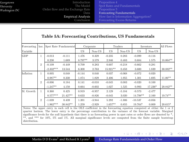[Introduction](#page-3-0) [The Model](#page--1-0) [Order flow and the Exchange Rate](#page--1-0) Data [Empirical Analysis](#page--1-0) [Conclusion](#page-24-0) [Spot Rates and Fundamentals](#page--1-0) [Forecasting Fundamentals](#page-17-0) [Forecasting Excess Returns](#page-21-0)

メロトメ部 トメミトメミト

重

 $\Omega$ 

#### **Table 5A: Forecasting Contributions, US Fundamentals**

| Forecasting | hor.           |             | Spot Rate Fundamental | Corporate |          | Traders   |          | Investors |          | All Flows  |
|-------------|----------------|-------------|-----------------------|-----------|----------|-----------|----------|-----------|----------|------------|
| Variable    |                |             |                       | US.       | Non-US   | US        | $Non-US$ | US        | $Non-US$ |            |
| <b>GDP</b>  | 1              | $-0.013$    | $-0.111$              | 1.476     | 0.329    | $-0.235$  | 0.283    | $-0.099$  | $-0.116$ |            |
|             |                | 0.230       | 1.689                 | 8.797**   | 3.579    | 2.946     | 0.483    | 0.684     | 1.575    | 18.064**   |
|             | $\mathfrak{D}$ | $-0.109$    | $-0.449$              | 0.709     | 0.283    | 0.607     | $-0.218$ | $-0.662$  | 0.281    |            |
|             |                | $-2.332***$ | 13.544                | 6.300     | 2.763    | 15.921**  | 0.458    | 3.600     | 1.839    | $30.882**$ |
| Inflation   | 1              | 0.005       | 0.048                 | $-0.144$  | 0.040    | 0.037     | $-0.068$ | $-0.072$  | 0.020    |            |
|             |                | $0.987**$   | 0.330                 | 1.874     | 1.829    | 2.406     | 1.955    | 1.301     | 1.695    | $11.06**$  |
|             | $\overline{2}$ | $-0.006$    | 0.184                 | 0.141     | $-0.010$ | $-0.045$  | 0.083    | $-0.020$  | 0.100    |            |
|             |                | $-1.247**$  | 4.150                 | 0.664     | $-0.602$ | 1.027     | 1.525    | 0.993     | 17.236*  | $20.842**$ |
| M. Growth   | 1              | 0.360       | 0.425                 | 0.919     | $-0.957$ | 2.129     | $-5.184$ | $-9.573$  | $-2.477$ |            |
|             |                | $0.577***$  | 21.427**              | 0.633     | $-0.826$ | $-0.045$  | 3.020    | 14.798**  | 2.160    | 19.74**    |
|             | $\overline{2}$ | $-1.039$    | 0.439                 | 1.391     | $-3.944$ | 5.292     | $-1.806$ | $-10.537$ | $-0.056$ |            |
|             |                | $1.962***$  | $30.842**$            | 1.259     | $-2.929$ | $1.657**$ | 0.855    | 19.764*   | 0.009    | $20.615*$  |

Notes: The upper entry in each cell is the OLS coefficient in the forecasting equation computed at either the 1 or 2 quarter horizon. The lower entry is the percentage contribution to the variance of the forecast variable. Marginal significance levels for the null hypothesis that there is no forecasting power in spot rates or order flows are denoted by \*, \*\*, and \*\*\* for 10%, 5% and 1%. All marginal significance levels are computed from the finite sample bootstrap distribution.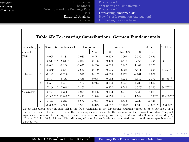[Introduction](#page-3-0) [The Model](#page--1-0) [Order flow and the Exchange Rate](#page--1-0) Data [Empirical Analysis](#page--1-0) [Conclusion](#page-24-0) [Proposition 4](#page--1-0) [Forecasting Fundamentals](#page-17-0) [How fast is Information Aggregation?](#page--1-0) [Forecasting Excess Returns](#page-21-0)

メロトメ部 トメミトメミト

<span id="page-20-0"></span>E

 $\Omega$ 

#### **Table 5B: Forecasting Contributions, German Fundamentals** Forecasting hor. Spot Rate Fundamental Corporate Traders Investors All Flows Variable | | US Non-US US Non-US US Non-US US Non-US GDP | 1 | 0.095 -0.281 | -0.983 -0.712 0.302 -0.997 -0.726 -0.426 0.617\*\*\* 8.814\* 0.257 2.108 0.409 2.646 0.368 0.394 6.181\* 2 -0.042 -0.106 -1.677 0.260 0.024 -0.845 1.402 1.170 -0.859 0.837 2.630 -0.730 0.095 3.026 6.511 19.995 31.527\* Inflation 1 -0.192 -0.286 2.315 0.167 -0.068 -3.479 -2.701 1.027 -0.307\*\*\* 6.483\* 2.485 0.065 0.052 9.421\*\* 5.384 2.171 19.578\*\* 2 -0.531 -0.491 1.764 0.714 0.104 -3.242 -4.703 1.394  $7.156***$   $7.040*$   $2.263$   $3.142$   $-0.327$   $3.287$   $25.076*$   $3.355$   $36.797**$ M. Growth 1 0.724 0.396 -3.224 2.408 -0.233 3.210 5.180 -5.215 -3.982\*\*\* 13.880\*\* 0.443 1.928 0.154 1.046 1.749 13.150\*\* 18.469\*\*\* 2 1.143 0.243 5.670 -3.091 0.203 8.813 -4.129 -11.436 -6.683\*\*\* 4.935 0.938 0.349 -0.067 10.483\* 1.530 50.605\*\*\* 63.838\*\*\*

Notes: The upper entry in each cell is the OLS coefficient in the forecasting equation computed at either the 1 or 2 quarter horizon. The lower entry is the percentage contribution to the variance of the forecast variable. Marginal significance levels for the null hypothesis that there is no forecasting power in spot rates or order flows are denoted by  $*$ . \*\*, and \*\*\* for 10%, 5% and 1%. All marginal significance levels are computed from the finite sample bootstrap distribution.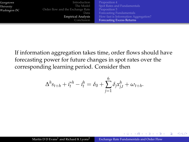| Georgetown<br>University<br>Washington DC | Introduction<br>The Model<br>Order flow and the Exchange Rate<br>Data<br><b>Empirical Analysis</b><br>Conclusion | Proposition 4<br>Spot Rates and Fundamentals<br>Proposition 5<br>Forecasting Fundamentals<br>How fast is Information Aggregation? |
|-------------------------------------------|------------------------------------------------------------------------------------------------------------------|-----------------------------------------------------------------------------------------------------------------------------------|
|                                           |                                                                                                                  | <b>Forecasting Excess Returns</b>                                                                                                 |

If information aggregation takes time, order flows should have forecasting power for future changes in spot rates over the corresponding learning period. Consider then

$$
\Delta^{h} s_{t+h} + i_t^{*h} - i_t^h = \delta_0 + \sum_{j=1}^{6} \delta_j x_{j,t}^h + \omega_{t+h}.
$$

<span id="page-21-0"></span>A + + = + + =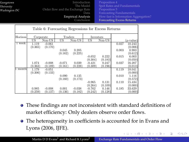| Georgetown    |  |
|---------------|--|
| University    |  |
| Washington DC |  |

[Introduction](#page-3-0) [The Model](#page--1-0) [Order flow and the Exchange Rate](#page--1-0) Data [Empirical Analysis](#page--1-0) [Conclusion](#page-24-0)

[Proposition 4](#page--1-0) [Spot Rates and Fundamentals](#page--1-0) [Forecasting Fundamentals](#page-17-0) [How fast is Information Aggregation?](#page--1-0) [Forecasting Excess Returns](#page-21-0)

イロトメ 御 トメ 君 トメ 君 ト

|         |         |           |          | Table 6: Forecasting Regressions for Excess Returns |           |          |       |           |
|---------|---------|-----------|----------|-----------------------------------------------------|-----------|----------|-------|-----------|
| Horizon |         | Corporate | Traders  |                                                     | Investors |          |       |           |
|         | US      | $Non-US$  | US       | Non-US                                              | US        | $Non-US$ |       | (p-value) |
| 1 week  | 1.119   | $-0.061$  |          |                                                     |           |          | 0.027 | 10.243    |
|         | (0.365) | (0.170)   |          |                                                     |           |          |       | (0.006)   |
|         |         |           | 0.045    | 0.205                                               |           |          | 0.003 | 0.983     |
|         |         |           | (0.162)  | (0.225)                                             |           |          |       | (0.612)   |
|         |         |           |          |                                                     | $-0.652$  | 0.222    | 0.015 | 6.003     |
|         |         |           |          |                                                     | (0.304)   | (0.183)  |       | (0.050)   |
|         | 1.074   | $-0.008$  | $-0.071$ | 0.039                                               | $-0.421$  | 0.247    | 0.037 | 16.207    |
|         | (0.363) | (0.189)   | (0.161)  | (0.228)                                             | (0.309)   | (0.196)  |       | (0.013)   |
| month   | 1.179   | $-0.051$  |          |                                                     |           |          | 0.119 | 18.041    |
|         | (0.306) | (0.133)   |          |                                                     |           |          |       | (0.000)   |
|         |         |           | 0.090    | 0.135                                               |           |          | 0.010 | 1.116     |
|         |         |           | (0.160)  | (0.173)                                             |           |          |       | (0.572)   |
|         |         |           |          |                                                     | $-0.965$  | 0.131    | 0.110 | 15.434    |
|         |         |           |          |                                                     | (0.264)   | (0.109)  |       | (0.000)   |
|         | 0.985   | $-0.008$  | 0.001    | $-0.038$                                            | $-0.762$  | 0.146    | 0.185 | 33.629    |
|         | (0.259) | (0.137)   | (0.136)  | (0.182)                                             | (0.242)   | (0.128)  |       | (0.000)   |

- These findings are not inconsistent with standard definitions of market efficiency: Only dealers observe order flows.
- The heterogeneity in coefficients is accounted for in Evans and Lyons (2006, IJFE).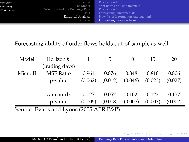| Georgetown<br>University<br>Washington DC | Introduction<br>The Model<br>Order flow and the Exchange Rate<br>Data.<br><b>Empirical Analysis</b><br>Conclusion | Proposition 4<br>Spot Rates and Fundamentals<br>Proposition 5<br>Forecasting Fundamentals<br>How fast is Information Aggregation?<br><b>Forecasting Excess Returns</b> |
|-------------------------------------------|-------------------------------------------------------------------------------------------------------------------|------------------------------------------------------------------------------------------------------------------------------------------------------------------------|
|                                           |                                                                                                                   |                                                                                                                                                                        |

### Forecasting ability of order flows holds out-of-sample as well.

| Model                                   | Horizon h        |         | 5       | 10      | 15      | 20      |  |  |
|-----------------------------------------|------------------|---------|---------|---------|---------|---------|--|--|
|                                         | (trading days)   |         |         |         |         |         |  |  |
| Micro II                                | <b>MSE Ratio</b> | 0.961   | 0.876   | 0.848   | 0.810   | 0.806   |  |  |
|                                         | p-value          | (0.062) | (0.012) | (0.046) | (0.023) | (0.027) |  |  |
|                                         |                  |         |         |         |         |         |  |  |
|                                         | var contrb.      | 0.027   | 0.057   | 0.102   | 0.122   | 0.157   |  |  |
|                                         | p-value          | (0.005) | (0.018) | (0.005) | (0.007) | (0.002) |  |  |
| Source: Evans and Lyons (2005 AER P&P). |                  |         |         |         |         |         |  |  |

4 0 8

 $\mathcal{A}$  and  $\mathcal{A}$  . The set of  $\mathbb{R}$  is

<span id="page-23-0"></span>重

 $299$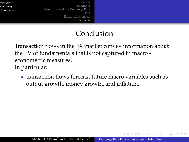[Introduction](#page-3-0) [The Model](#page--1-0) [Order flow and the Exchange Rate](#page--1-0) Data [Empirical Analysis](#page--1-0) [Conclusion](#page-24-0)

## Conclusion

Transaction flows in the FX market convey information about the PV of fundamentals that is not captured in macro econometric measures. In particular:

**•** transaction flows forecast future macro variables such as output growth, money growth, and inflation,

<span id="page-24-0"></span>イロト イ母 トイヨ トイヨト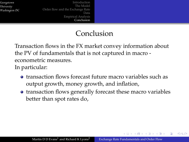[Introduction](#page-3-0) [The Model](#page--1-0) [Order flow and the Exchange Rate](#page--1-0) Data [Empirical Analysis](#page--1-0) [Conclusion](#page-24-0)

## Conclusion

Transaction flows in the FX market convey information about the PV of fundamentals that is not captured in macro econometric measures. In particular:

- **•** transaction flows forecast future macro variables such as output growth, money growth, and inflation,
- transaction flows generally forecast these macro variables better than spot rates do,

イロト イ母 トイヨ トイヨト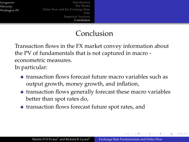[Introduction](#page-3-0) [The Model](#page--1-0) [Order flow and the Exchange Rate](#page--1-0) Data [Empirical Analysis](#page--1-0) [Conclusion](#page-24-0)

## Conclusion

Transaction flows in the FX market convey information about the PV of fundamentals that is not captured in macro econometric measures. In particular:

- **•** transaction flows forecast future macro variables such as output growth, money growth, and inflation,
- transaction flows generally forecast these macro variables better than spot rates do,
- transaction flows forecast future spot rates, and

<span id="page-26-0"></span>イロト イ母 トイヨ トイヨト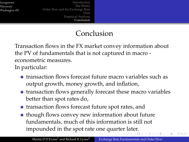[Introduction](#page-3-0) [The Model](#page--1-0) [Order flow and the Exchange Rate](#page--1-0) Data [Empirical Analysis](#page--1-0) [Conclusion](#page-24-0)

## <span id="page-27-0"></span>Conclusion

Transaction flows in the FX market convey information about the PV of fundamentals that is not captured in macro econometric measures.

In particular:

- **•** transaction flows forecast future macro variables such as output growth, money growth, and inflation,
- transaction flows generally forecast these macro variables better than spot rates do,
- transaction flows forecast future spot rates, and
- though flows convey new information about future fundamentals, much of this information is still not impounded in the spot rate one quart[er](#page-26-0) l[at](#page-28-0)[e](#page-23-0)[r.](#page-24-0)